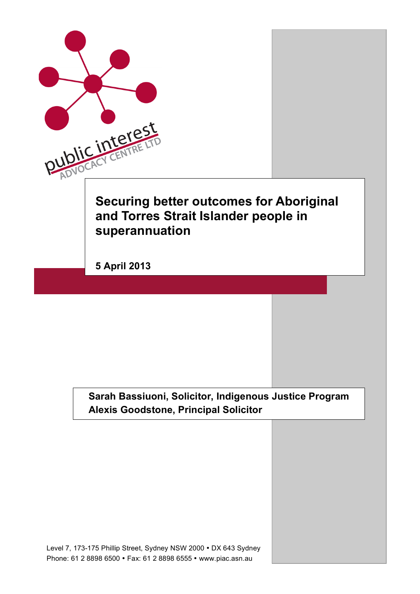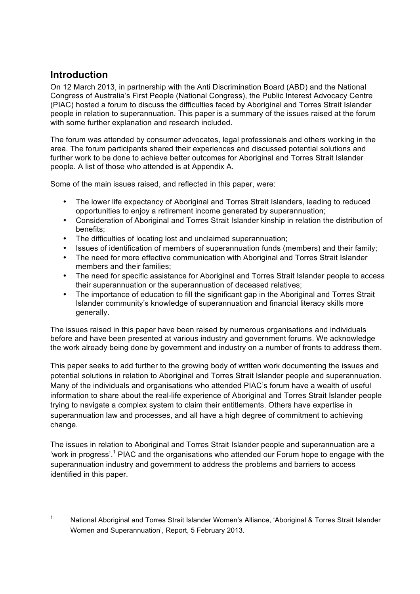### **Introduction**

On 12 March 2013, in partnership with the Anti Discrimination Board (ABD) and the National Congress of Australia's First People (National Congress), the Public Interest Advocacy Centre (PIAC) hosted a forum to discuss the difficulties faced by Aboriginal and Torres Strait Islander people in relation to superannuation. This paper is a summary of the issues raised at the forum with some further explanation and research included.

The forum was attended by consumer advocates, legal professionals and others working in the area. The forum participants shared their experiences and discussed potential solutions and further work to be done to achieve better outcomes for Aboriginal and Torres Strait Islander people. A list of those who attended is at Appendix A.

Some of the main issues raised, and reflected in this paper, were:

- The lower life expectancy of Aboriginal and Torres Strait Islanders, leading to reduced opportunities to enjoy a retirement income generated by superannuation;
- Consideration of Aboriginal and Torres Strait Islander kinship in relation the distribution of benefits;
- The difficulties of locating lost and unclaimed superannuation;
- Issues of identification of members of superannuation funds (members) and their family;
- The need for more effective communication with Aboriginal and Torres Strait Islander members and their families;
- The need for specific assistance for Aboriginal and Torres Strait Islander people to access their superannuation or the superannuation of deceased relatives;
- The importance of education to fill the significant gap in the Aboriginal and Torres Strait Islander community's knowledge of superannuation and financial literacy skills more generally.

The issues raised in this paper have been raised by numerous organisations and individuals before and have been presented at various industry and government forums. We acknowledge the work already being done by government and industry on a number of fronts to address them.

This paper seeks to add further to the growing body of written work documenting the issues and potential solutions in relation to Aboriginal and Torres Strait Islander people and superannuation. Many of the individuals and organisations who attended PIAC's forum have a wealth of useful information to share about the real-life experience of Aboriginal and Torres Strait Islander people trying to navigate a complex system to claim their entitlements. Others have expertise in superannuation law and processes, and all have a high degree of commitment to achieving change.

The issues in relation to Aboriginal and Torres Strait Islander people and superannuation are a 'work in progress'.<sup>1</sup> PIAC and the organisations who attended our Forum hope to engage with the superannuation industry and government to address the problems and barriers to access identified in this paper.

<sup>&</sup>lt;sup>1</sup> National Aboriginal and Torres Strait Islander Women's Alliance, 'Aboriginal & Torres Strait Islander Women and Superannuation', Report, 5 February 2013.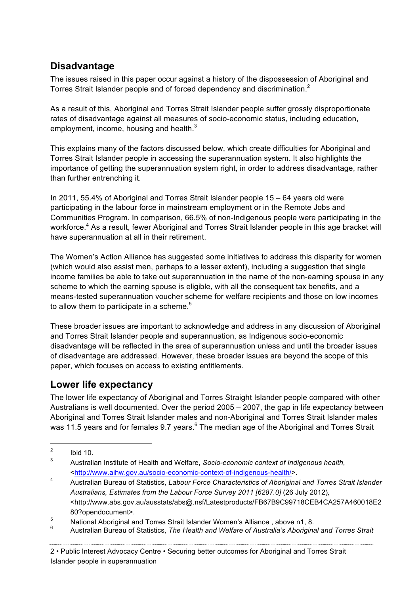### **Disadvantage**

The issues raised in this paper occur against a history of the dispossession of Aboriginal and Torres Strait Islander people and of forced dependency and discrimination.<sup>2</sup>

As a result of this, Aboriginal and Torres Strait Islander people suffer grossly disproportionate rates of disadvantage against all measures of socio-economic status, including education, employment, income, housing and health. $^3$ 

This explains many of the factors discussed below, which create difficulties for Aboriginal and Torres Strait Islander people in accessing the superannuation system. It also highlights the importance of getting the superannuation system right, in order to address disadvantage, rather than further entrenching it.

In 2011, 55.4% of Aboriginal and Torres Strait Islander people 15 – 64 years old were participating in the labour force in mainstream employment or in the Remote Jobs and Communities Program. In comparison, 66.5% of non-Indigenous people were participating in the workforce.<sup>4</sup> As a result, fewer Aboriginal and Torres Strait Islander people in this age bracket will have superannuation at all in their retirement.

The Women's Action Alliance has suggested some initiatives to address this disparity for women (which would also assist men, perhaps to a lesser extent), including a suggestion that single income families be able to take out superannuation in the name of the non-earning spouse in any scheme to which the earning spouse is eligible, with all the consequent tax benefits, and a means-tested superannuation voucher scheme for welfare recipients and those on low incomes to allow them to participate in a scheme.<sup>5</sup>

These broader issues are important to acknowledge and address in any discussion of Aboriginal and Torres Strait Islander people and superannuation, as Indigenous socio-economic disadvantage will be reflected in the area of superannuation unless and until the broader issues of disadvantage are addressed. However, these broader issues are beyond the scope of this paper, which focuses on access to existing entitlements.

### **Lower life expectancy**

The lower life expectancy of Aboriginal and Torres Straight Islander people compared with other Australians is well documented. Over the period 2005 – 2007, the gap in life expectancy between Aboriginal and Torres Strait Islander males and non-Aboriginal and Torres Strait Islander males was 11.5 years and for females 9.7 years.<sup>6</sup> The median age of the Aboriginal and Torres Strait

 $\frac{2}{3}$  Ibid 10.

<sup>3</sup> Australian Institute of Health and Welfare, *Socio-economic context of Indigenous health*, <http://www.aihw.gov.au/socio-economic-context-of-indigenous-health/>.

<sup>4</sup> Australian Bureau of Statistics, *Labour Force Characteristics of Aboriginal and Torres Strait Islander Australians, Estimates from the Labour Force Survey 2011 [6287.0]* (26 July 2012)*,* <http://www.abs.gov.au/ausstats/abs@.nsf/Latestproducts/FB67B9C99718CEB4CA257A460018E2 80?opendocument>.

<sup>&</sup>lt;sup>5</sup> National Aboriginal and Torres Strait Islander Women's Alliance, above n1, 8.

<sup>6</sup> Australian Bureau of Statistics, *The Health and Welfare of Australia's Aboriginal and Torres Strait* 

<sup>2</sup> • Public Interest Advocacy Centre • Securing better outcomes for Aboriginal and Torres Strait Islander people in superannuation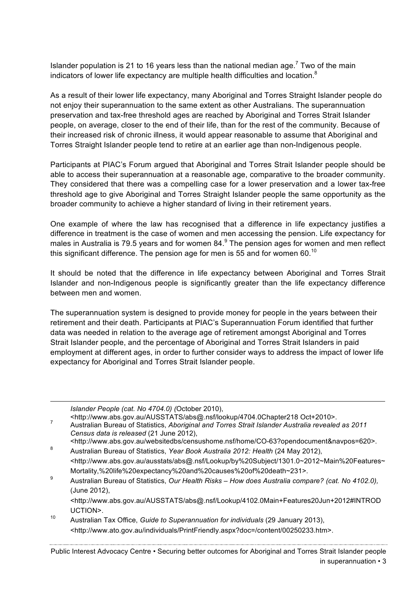Islander population is 21 to 16 years less than the national median age.<sup>7</sup> Two of the main indicators of lower life expectancy are multiple health difficulties and location.<sup>8</sup>

As a result of their lower life expectancy, many Aboriginal and Torres Straight Islander people do not enjoy their superannuation to the same extent as other Australians. The superannuation preservation and tax-free threshold ages are reached by Aboriginal and Torres Strait Islander people, on average, closer to the end of their life, than for the rest of the community. Because of their increased risk of chronic illness, it would appear reasonable to assume that Aboriginal and Torres Straight Islander people tend to retire at an earlier age than non-Indigenous people.

Participants at PIAC's Forum argued that Aboriginal and Torres Strait Islander people should be able to access their superannuation at a reasonable age, comparative to the broader community. They considered that there was a compelling case for a lower preservation and a lower tax-free threshold age to give Aboriginal and Torres Straight Islander people the same opportunity as the broader community to achieve a higher standard of living in their retirement years.

One example of where the law has recognised that a difference in life expectancy justifies a difference in treatment is the case of women and men accessing the pension. Life expectancy for males in Australia is 79.5 years and for women  $84.9$  The pension ages for women and men reflect this significant difference. The pension age for men is 55 and for women 60.<sup>10</sup>

It should be noted that the difference in life expectancy between Aboriginal and Torres Strait Islander and non-Indigenous people is significantly greater than the life expectancy difference between men and women.

The superannuation system is designed to provide money for people in the years between their retirement and their death. Participants at PIAC's Superannuation Forum identified that further data was needed in relation to the average age of retirement amongst Aboriginal and Torres Strait Islander people, and the percentage of Aboriginal and Torres Strait Islanders in paid employment at different ages, in order to further consider ways to address the impact of lower life expectancy for Aboriginal and Torres Strait Islander people.

*Islander People (cat. No 4704.0) (*October 2010),

Australian Bureau of Statistics, *Aboriginal and Torres Strait Islander Australia revealed as 2011*<sup>7</sup> *Census data is released* (21 June 2012),

- <http://www.abs.gov.au/websitedbs/censushome.nsf/home/CO-63?opendocument&navpos=620>.
- <sup>8</sup> Australian Bureau of Statistics, *Year Book Australia 2012: Health* (24 May 2012), <http://www.abs.gov.au/ausstats/abs@.nsf/Lookup/by%20Subject/1301.0~2012~Main%20Features~ Mortality,%20life%20expectancy%20and%20causes%20of%20death~231>.
- <sup>9</sup> Australian Bureau of Statistics, *Our Health Risks – How does Australia compare? (cat. No 4102.0),* (June 2012),

<http://www.abs.gov.au/AUSSTATS/abs@.nsf/Lookup/4102.0Main+Features20Jun+2012#INTROD UCTION>.

<sup>10</sup> Australian Tax Office, *Guide to Superannuation for individuals* (29 January 2013), <http://www.ato.gov.au/individuals/PrintFriendly.aspx?doc=/content/00250233.htm>.

Public Interest Advocacy Centre • Securing better outcomes for Aboriginal and Torres Strait Islander people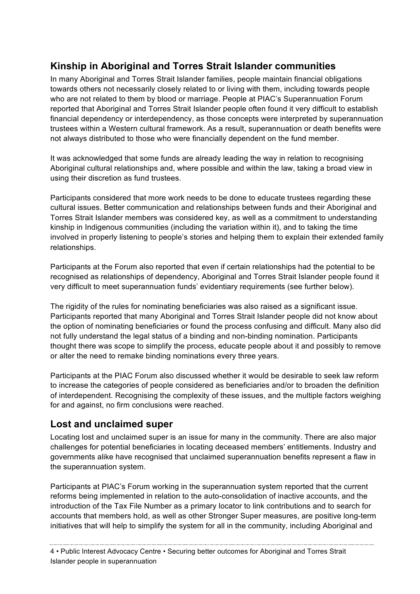# **Kinship in Aboriginal and Torres Strait Islander communities**

In many Aboriginal and Torres Strait Islander families, people maintain financial obligations towards others not necessarily closely related to or living with them, including towards people who are not related to them by blood or marriage. People at PIAC's Superannuation Forum reported that Aboriginal and Torres Strait Islander people often found it very difficult to establish financial dependency or interdependency, as those concepts were interpreted by superannuation trustees within a Western cultural framework. As a result, superannuation or death benefits were not always distributed to those who were financially dependent on the fund member.

It was acknowledged that some funds are already leading the way in relation to recognising Aboriginal cultural relationships and, where possible and within the law, taking a broad view in using their discretion as fund trustees.

Participants considered that more work needs to be done to educate trustees regarding these cultural issues. Better communication and relationships between funds and their Aboriginal and Torres Strait Islander members was considered key, as well as a commitment to understanding kinship in Indigenous communities (including the variation within it), and to taking the time involved in properly listening to people's stories and helping them to explain their extended family relationships.

Participants at the Forum also reported that even if certain relationships had the potential to be recognised as relationships of dependency, Aboriginal and Torres Strait Islander people found it very difficult to meet superannuation funds' evidentiary requirements (see further below).

The rigidity of the rules for nominating beneficiaries was also raised as a significant issue. Participants reported that many Aboriginal and Torres Strait Islander people did not know about the option of nominating beneficiaries or found the process confusing and difficult. Many also did not fully understand the legal status of a binding and non-binding nomination. Participants thought there was scope to simplify the process, educate people about it and possibly to remove or alter the need to remake binding nominations every three years.

Participants at the PIAC Forum also discussed whether it would be desirable to seek law reform to increase the categories of people considered as beneficiaries and/or to broaden the definition of interdependent. Recognising the complexity of these issues, and the multiple factors weighing for and against, no firm conclusions were reached.

### **Lost and unclaimed super**

Locating lost and unclaimed super is an issue for many in the community. There are also major challenges for potential beneficiaries in locating deceased members' entitlements. Industry and governments alike have recognised that unclaimed superannuation benefits represent a flaw in the superannuation system.

Participants at PIAC's Forum working in the superannuation system reported that the current reforms being implemented in relation to the auto-consolidation of inactive accounts, and the introduction of the Tax File Number as a primary locator to link contributions and to search for accounts that members hold, as well as other Stronger Super measures, are positive long-term initiatives that will help to simplify the system for all in the community, including Aboriginal and

4 • Public Interest Advocacy Centre • Securing better outcomes for Aboriginal and Torres Strait Islander people in superannuation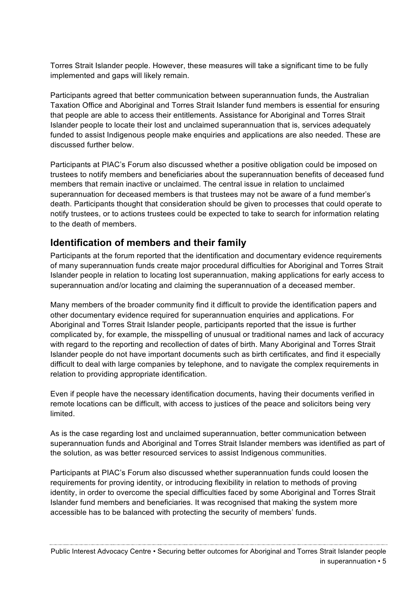Torres Strait Islander people. However, these measures will take a significant time to be fully implemented and gaps will likely remain.

Participants agreed that better communication between superannuation funds, the Australian Taxation Office and Aboriginal and Torres Strait Islander fund members is essential for ensuring that people are able to access their entitlements. Assistance for Aboriginal and Torres Strait Islander people to locate their lost and unclaimed superannuation that is, services adequately funded to assist Indigenous people make enquiries and applications are also needed. These are discussed further below.

Participants at PIAC's Forum also discussed whether a positive obligation could be imposed on trustees to notify members and beneficiaries about the superannuation benefits of deceased fund members that remain inactive or unclaimed. The central issue in relation to unclaimed superannuation for deceased members is that trustees may not be aware of a fund member's death. Participants thought that consideration should be given to processes that could operate to notify trustees, or to actions trustees could be expected to take to search for information relating to the death of members.

### **Identification of members and their family**

Participants at the forum reported that the identification and documentary evidence requirements of many superannuation funds create major procedural difficulties for Aboriginal and Torres Strait Islander people in relation to locating lost superannuation, making applications for early access to superannuation and/or locating and claiming the superannuation of a deceased member.

Many members of the broader community find it difficult to provide the identification papers and other documentary evidence required for superannuation enquiries and applications. For Aboriginal and Torres Strait Islander people, participants reported that the issue is further complicated by, for example, the misspelling of unusual or traditional names and lack of accuracy with regard to the reporting and recollection of dates of birth. Many Aboriginal and Torres Strait Islander people do not have important documents such as birth certificates, and find it especially difficult to deal with large companies by telephone, and to navigate the complex requirements in relation to providing appropriate identification.

Even if people have the necessary identification documents, having their documents verified in remote locations can be difficult, with access to justices of the peace and solicitors being very limited.

As is the case regarding lost and unclaimed superannuation, better communication between superannuation funds and Aboriginal and Torres Strait Islander members was identified as part of the solution, as was better resourced services to assist Indigenous communities.

Participants at PIAC's Forum also discussed whether superannuation funds could loosen the requirements for proving identity, or introducing flexibility in relation to methods of proving identity, in order to overcome the special difficulties faced by some Aboriginal and Torres Strait Islander fund members and beneficiaries. It was recognised that making the system more accessible has to be balanced with protecting the security of members' funds.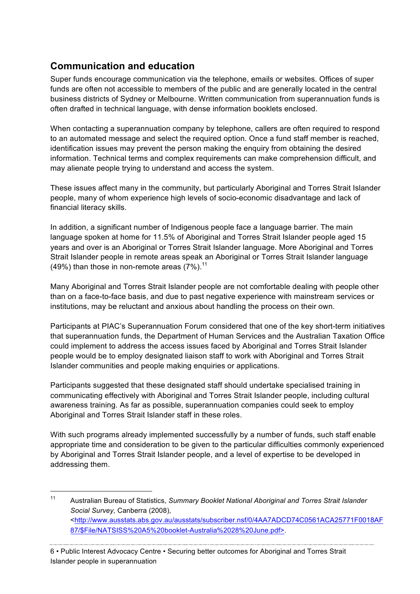# **Communication and education**

Super funds encourage communication via the telephone, emails or websites. Offices of super funds are often not accessible to members of the public and are generally located in the central business districts of Sydney or Melbourne. Written communication from superannuation funds is often drafted in technical language, with dense information booklets enclosed.

When contacting a superannuation company by telephone, callers are often required to respond to an automated message and select the required option. Once a fund staff member is reached, identification issues may prevent the person making the enquiry from obtaining the desired information. Technical terms and complex requirements can make comprehension difficult, and may alienate people trying to understand and access the system.

These issues affect many in the community, but particularly Aboriginal and Torres Strait Islander people, many of whom experience high levels of socio-economic disadvantage and lack of financial literacy skills.

In addition, a significant number of Indigenous people face a language barrier. The main language spoken at home for 11.5% of Aboriginal and Torres Strait Islander people aged 15 years and over is an Aboriginal or Torres Strait Islander language. More Aboriginal and Torres Strait Islander people in remote areas speak an Aboriginal or Torres Strait Islander language (49%) than those in non-remote areas  $(7\%)$ .<sup>11</sup>

Many Aboriginal and Torres Strait Islander people are not comfortable dealing with people other than on a face-to-face basis, and due to past negative experience with mainstream services or institutions, may be reluctant and anxious about handling the process on their own.

Participants at PIAC's Superannuation Forum considered that one of the key short-term initiatives that superannuation funds, the Department of Human Services and the Australian Taxation Office could implement to address the access issues faced by Aboriginal and Torres Strait Islander people would be to employ designated liaison staff to work with Aboriginal and Torres Strait Islander communities and people making enquiries or applications.

Participants suggested that these designated staff should undertake specialised training in communicating effectively with Aboriginal and Torres Strait Islander people, including cultural awareness training. As far as possible, superannuation companies could seek to employ Aboriginal and Torres Strait Islander staff in these roles.

With such programs already implemented successfully by a number of funds, such staff enable appropriate time and consideration to be given to the particular difficulties commonly experienced by Aboriginal and Torres Strait Islander people, and a level of expertise to be developed in addressing them.

 <sup>11</sup> Australian Bureau of Statistics, *Summary Booklet National Aboriginal and Torres Strait Islander Social Survey,* Canberra (2008), <http://www.ausstats.abs.gov.au/ausstats/subscriber.nsf/0/4AA7ADCD74C0561ACA25771F0018AF 87/\$File/NATSISS%20A5%20booklet-Australia%2028%20June.pdf>.

<sup>6</sup> • Public Interest Advocacy Centre • Securing better outcomes for Aboriginal and Torres Strait Islander people in superannuation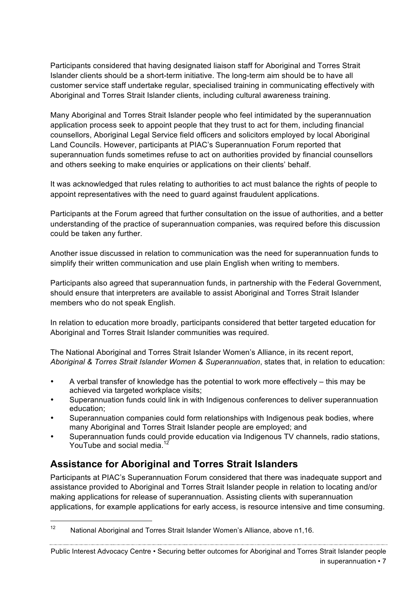Participants considered that having designated liaison staff for Aboriginal and Torres Strait Islander clients should be a short-term initiative. The long-term aim should be to have all customer service staff undertake regular, specialised training in communicating effectively with Aboriginal and Torres Strait Islander clients, including cultural awareness training.

Many Aboriginal and Torres Strait Islander people who feel intimidated by the superannuation application process seek to appoint people that they trust to act for them, including financial counsellors, Aboriginal Legal Service field officers and solicitors employed by local Aboriginal Land Councils. However, participants at PIAC's Superannuation Forum reported that superannuation funds sometimes refuse to act on authorities provided by financial counsellors and others seeking to make enquiries or applications on their clients' behalf.

It was acknowledged that rules relating to authorities to act must balance the rights of people to appoint representatives with the need to guard against fraudulent applications.

Participants at the Forum agreed that further consultation on the issue of authorities, and a better understanding of the practice of superannuation companies, was required before this discussion could be taken any further.

Another issue discussed in relation to communication was the need for superannuation funds to simplify their written communication and use plain English when writing to members.

Participants also agreed that superannuation funds, in partnership with the Federal Government, should ensure that interpreters are available to assist Aboriginal and Torres Strait Islander members who do not speak English.

In relation to education more broadly, participants considered that better targeted education for Aboriginal and Torres Strait Islander communities was required.

The National Aboriginal and Torres Strait Islander Women's Alliance, in its recent report, *Aboriginal & Torres Strait Islander Women & Superannuation*, states that, in relation to education:

- A verbal transfer of knowledge has the potential to work more effectively this may be achieved via targeted workplace visits;
- Superannuation funds could link in with Indigenous conferences to deliver superannuation education;
- Superannuation companies could form relationships with Indigenous peak bodies, where many Aboriginal and Torres Strait Islander people are employed; and
- Superannuation funds could provide education via Indigenous TV channels, radio stations, YouTube and social media.<sup>12</sup>

# **Assistance for Aboriginal and Torres Strait Islanders**

Participants at PIAC's Superannuation Forum considered that there was inadequate support and assistance provided to Aboriginal and Torres Strait Islander people in relation to locating and/or making applications for release of superannuation. Assisting clients with superannuation applications, for example applications for early access, is resource intensive and time consuming.

Public Interest Advocacy Centre • Securing better outcomes for Aboriginal and Torres Strait Islander people

<sup>&</sup>lt;sup>12</sup> National Aboriginal and Torres Strait Islander Women's Alliance, above n1,16.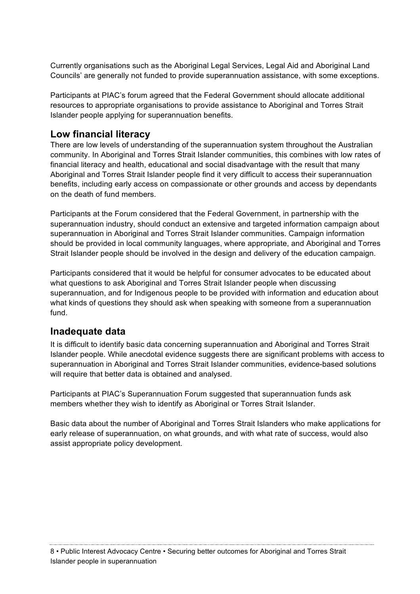Currently organisations such as the Aboriginal Legal Services, Legal Aid and Aboriginal Land Councils' are generally not funded to provide superannuation assistance, with some exceptions.

Participants at PIAC's forum agreed that the Federal Government should allocate additional resources to appropriate organisations to provide assistance to Aboriginal and Torres Strait Islander people applying for superannuation benefits.

### **Low financial literacy**

There are low levels of understanding of the superannuation system throughout the Australian community. In Aboriginal and Torres Strait Islander communities, this combines with low rates of financial literacy and health, educational and social disadvantage with the result that many Aboriginal and Torres Strait Islander people find it very difficult to access their superannuation benefits, including early access on compassionate or other grounds and access by dependants on the death of fund members.

Participants at the Forum considered that the Federal Government, in partnership with the superannuation industry, should conduct an extensive and targeted information campaign about superannuation in Aboriginal and Torres Strait Islander communities. Campaign information should be provided in local community languages, where appropriate, and Aboriginal and Torres Strait Islander people should be involved in the design and delivery of the education campaign.

Participants considered that it would be helpful for consumer advocates to be educated about what questions to ask Aboriginal and Torres Strait Islander people when discussing superannuation, and for Indigenous people to be provided with information and education about what kinds of questions they should ask when speaking with someone from a superannuation fund.

### **Inadequate data**

It is difficult to identify basic data concerning superannuation and Aboriginal and Torres Strait Islander people. While anecdotal evidence suggests there are significant problems with access to superannuation in Aboriginal and Torres Strait Islander communities, evidence-based solutions will require that better data is obtained and analysed.

Participants at PIAC's Superannuation Forum suggested that superannuation funds ask members whether they wish to identify as Aboriginal or Torres Strait Islander.

Basic data about the number of Aboriginal and Torres Strait Islanders who make applications for early release of superannuation, on what grounds, and with what rate of success, would also assist appropriate policy development.